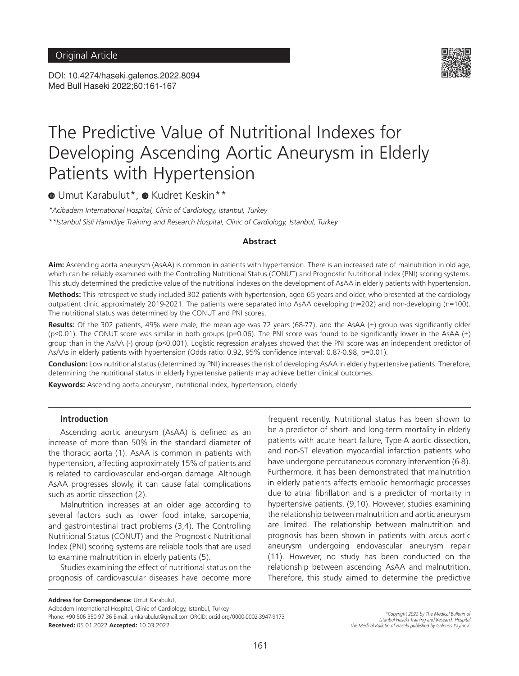DOI: 10.4274/haseki.galenos.2022.8094 Med Bull Haseki 2022;60:161-167



# The Predictive Value of Nutritional Indexes for Developing Ascending Aortic Aneurysm in Elderly Patients with Hypertension

 $\bullet$ Umut Karabulut\*,  $\bullet$  Kudret Keskin\*\*

*\*Acibadem International Hospital, Clinic of Cardiology, Istanbul, Turkey \*\*Istanbul Sisli Hamidiye Training and Research Hospital, Clinic of Cardiology, Istanbul, Turkey*

**Abstract**

**Aim:** Ascending aorta aneurysm (AsAA) is common in patients with hypertension. There is an increased rate of malnutrition in old age, which can be reliably examined with the Controlling Nutritional Status (CONUT) and Prognostic Nutritional Index (PNI) scoring systems. This study determined the predictive value of the nutritional indexes on the development of AsAA in elderly patients with hypertension.

**Methods:** This retrospective study included 302 patients with hypertension, aged 65 years and older, who presented at the cardiology outpatient clinic approximately 2019-2021. The patients were separated into AsAA developing (n=202) and non-developing (n=100). The nutritional status was determined by the CONUT and PNI scores.

**Results:** Of the 302 patients, 49% were male, the mean age was 72 years (68-77), and the AsAA (+) group was significantly older  $(p<0.01)$ . The CONUT score was similar in both groups ( $p=0.06$ ). The PNI score was found to be significantly lower in the AsAA (+) group than in the AsAA (-) group (p<0.001). Logistic regression analyses showed that the PNI score was an independent predictor of AsAAs in elderly patients with hypertension (Odds ratio: 0.92, 95% confidence interval: 0.87-0.98, p=0.01).

**Conclusion:** Low nutritional status (determined by PNI) increases the risk of developing AsAA in elderly hypertensive patients. Therefore, determining the nutritional status in elderly hypertensive patients may achieve better clinical outcomes.

**Keywords:** Ascending aorta aneurysm, nutritional index, hypertension, elderly

## **Introduction**

Ascending aortic aneurysm (AsAA) is defined as an increase of more than 50% in the standard diameter of the thoracic aorta (1). AsAA is common in patients with hypertension, affecting approximately 15% of patients and is related to cardiovascular end-organ damage. Although AsAA progresses slowly, it can cause fatal complications such as aortic dissection (2).

Malnutrition increases at an older age according to several factors such as lower food intake, sarcopenia, and gastrointestinal tract problems (3,4). The Controlling Nutritional Status (CONUT) and the Prognostic Nutritional Index (PNI) scoring systems are reliable tools that are used to examine malnutrition in elderly patients (5).

Studies examining the effect of nutritional status on the prognosis of cardiovascular diseases have become more frequent recently. Nutritional status has been shown to be a predictor of short- and long-term mortality in elderly patients with acute heart failure, Type-A aortic dissection, and non-ST elevation myocardial infarction patients who have undergone percutaneous coronary intervention (6-8). Furthermore, it has been demonstrated that malnutrition in elderly patients affects embolic hemorrhagic processes due to atrial fibrillation and is a predictor of mortality in hypertensive patients. (9,10). However, studies examining the relationship between malnutrition and aortic aneurysm are limited. The relationship between malnutrition and prognosis has been shown in patients with arcus aortic aneurysm undergoing endovascular aneurysm repair (11). However, no study has been conducted on the relationship between ascending AsAA and malnutrition. Therefore, this study aimed to determine the predictive

**Address for Correspondence:** Umut Karabulut,

Acibadem International Hospital, Clinic of Cardiology, Istanbul, Turkey Phone: +90 506 350 97 36 E-mail: umkarabulut@gmail.com ORCID: orcid.org/0000-0002-3947-9173 **Received:** 05.01.2022 **Accepted:** 10.03.2022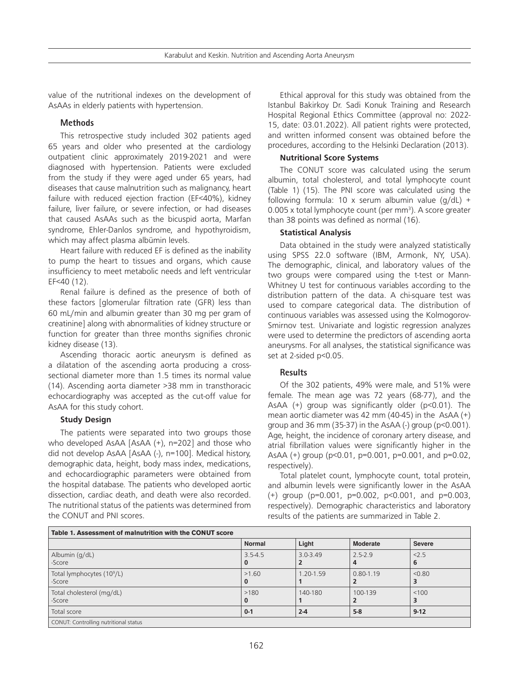value of the nutritional indexes on the development of AsAAs in elderly patients with hypertension.

#### **Methods**

This retrospective study included 302 patients aged 65 years and older who presented at the cardiology outpatient clinic approximately 2019-2021 and were diagnosed with hypertension. Patients were excluded from the study if they were aged under 65 years, had diseases that cause malnutrition such as malignancy, heart failure with reduced ejection fraction (EF<40%), kidney failure, liver failure, or severe infection, or had diseases that caused AsAAs such as the bicuspid aorta, Marfan syndrome, Ehler-Danlos syndrome, and hypothyroidism, which may affect plasma albümin levels.

Heart failure with reduced EF is defined as the inability to pump the heart to tissues and organs, which cause insufficiency to meet metabolic needs and left ventricular EF<40 (12).

Renal failure is defined as the presence of both of these factors [glomerular filtration rate (GFR) less than 60 mL/min and albumin greater than 30 mg per gram of creatinine] along with abnormalities of kidney structure or function for greater than three months signifies chronic kidney disease (13).

Ascending thoracic aortic aneurysm is defined as a dilatation of the ascending aorta producing a crosssectional diameter more than 1.5 times its normal value (14). Ascending aorta diameter >38 mm in transthoracic echocardiography was accepted as the cut-off value for AsAA for this study cohort.

#### **Study Design**

The patients were separated into two groups those who developed AsAA [AsAA (+), n=202] and those who did not develop AsAA [AsAA (-), n=100]. Medical history, demographic data, height, body mass index, medications, and echocardiographic parameters were obtained from the hospital database. The patients who developed aortic dissection, cardiac death, and death were also recorded. The nutritional status of the patients was determined from the CONUT and PNI scores.

Ethical approval for this study was obtained from the Istanbul Bakirkoy Dr. Sadi Konuk Training and Research Hospital Regional Ethics Committee (approval no: 2022- 15, date: 03.01.2022). All patient rights were protected, and written informed consent was obtained before the procedures, according to the Helsinki Declaration (2013).

## **Nutritional Score Systems**

The CONUT score was calculated using the serum albumin, total cholesterol, and total lymphocyte count (Table 1) (15). The PNI score was calculated using the following formula: 10 x serum albumin value  $(q/dL)$  + 0.005 x total lymphocyte count (per mm<sup>3</sup>). A score greater than 38 points was defined as normal (16).

## **Statistical Analysis**

Data obtained in the study were analyzed statistically using SPSS 22.0 software (IBM, Armonk, NY, USA). The demographic, clinical, and laboratory values of the two groups were compared using the t-test or Mann-Whitney U test for continuous variables according to the distribution pattern of the data. A chi-square test was used to compare categorical data. The distribution of continuous variables was assessed using the Kolmogorov-Smirnov test. Univariate and logistic regression analyzes were used to determine the predictors of ascending aorta aneurysms. For all analyses, the statistical significance was set at 2-sided p<0.05.

# **Results**

Of the 302 patients, 49% were male, and 51% were female. The mean age was 72 years (68-77), and the AsAA (+) group was significantly older (p<0.01). The mean aortic diameter was 42 mm (40-45) in the AsAA  $(+)$ group and 36 mm (35-37) in the AsAA  $(-)$  group ( $p<0.001$ ). Age, height, the incidence of coronary artery disease, and atrial fibrillation values were significantly higher in the AsAA (+) group (p<0.01, p=0.001, p=0.001, and p=0.02, respectively).

Total platelet count, lymphocyte count, total protein, and albumin levels were significantly lower in the AsAA (+) group (p=0.001, p=0.002, p<0.001, and p=0.003, respectively). Demographic characteristics and laboratory results of the patients are summarized in Table 2.

| Table 1. Assessment of malnutrition with the CONUT score |                  |              |                  |               |  |  |
|----------------------------------------------------------|------------------|--------------|------------------|---------------|--|--|
|                                                          | <b>Normal</b>    | Light        | <b>Moderate</b>  | <b>Severe</b> |  |  |
| Albumin (g/dL)<br>-Score                                 | $3.5 - 4.5$<br>u | $3.0 - 3.49$ | $2.5 - 2.9$<br>4 | < 2.5<br>6    |  |  |
| Total lymphocytes $(10^9/L)$<br>-Score                   | >1.60            | 1.20-1.59    | $0.80 - 1.19$    | < 0.80        |  |  |
| Total cholesterol (mg/dL)<br>-Score                      | >180<br>0        | 140-180      | 100-139          | < 100         |  |  |
| Total score                                              | $0 - 1$          | $2 - 4$      | $5-8$            | $9 - 12$      |  |  |
| CONUT: Controlling nutritional status                    |                  |              |                  |               |  |  |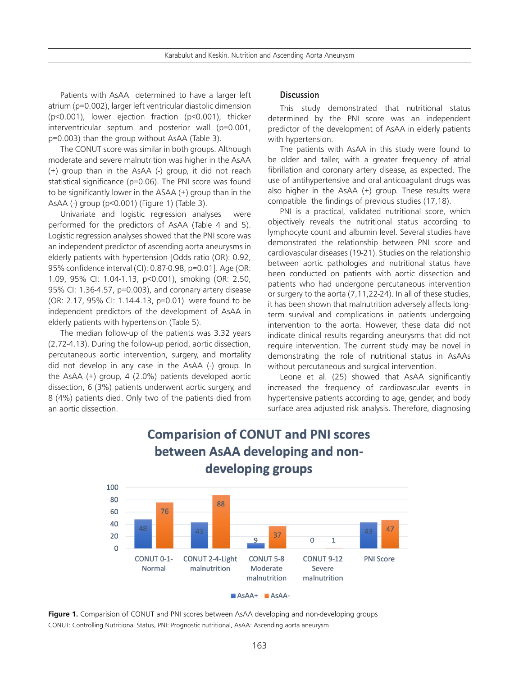Patients with AsAA determined to have a larger left atrium (p=0.002), larger left ventricular diastolic dimension (p<0.001), lower ejection fraction (p<0.001), thicker interventricular septum and posterior wall (p=0.001, p=0.003) than the group without AsAA (Table 3).

The CONUT score was similar in both groups. Although moderate and severe malnutrition was higher in the AsAA (+) group than in the AsAA (-) group, it did not reach statistical significance (p=0.06). The PNI score was found to be significantly lower in the ASAA (+) group than in the AsAA (-) group (p<0.001) (Figure 1) (Table 3).

Univariate and logistic regression analyses were performed for the predictors of AsAA (Table 4 and 5). Logistic regression analyses showed that the PNI score was an independent predictor of ascending aorta aneurysms in elderly patients with hypertension [Odds ratio (OR): 0.92, 95% confidence interval (CI): 0.87-0.98, p=0.01]. Age (OR: 1.09, 95% CI: 1.04-1.13, p<0.001), smoking (OR: 2.50, 95% CI: 1.36-4.57, p=0.003), and coronary artery disease (OR: 2.17, 95% CI: 1.14-4.13, p=0.01) were found to be independent predictors of the development of AsAA in elderly patients with hypertension (Table 5).

The median follow-up of the patients was 3.32 years (2.72-4.13). During the follow-up period, aortic dissection, percutaneous aortic intervention, surgery, and mortality did not develop in any case in the AsAA (-) group. In the AsAA (+) group, 4 (2.0%) patients developed aortic dissection, 6 (3%) patients underwent aortic surgery, and 8 (4%) patients died. Only two of the patients died from an aortic dissection.

## **Discussion**

This study demonstrated that nutritional status determined by the PNI score was an independent predictor of the development of AsAA in elderly patients with hypertension.

The patients with AsAA in this study were found to be older and taller, with a greater frequency of atrial fibrillation and coronary artery disease, as expected. The use of antihypertensive and oral anticoagulant drugs was also higher in the AsAA (+) group. These results were compatible the findings of previous studies (17,18).

PNI is a practical, validated nutritional score, which objectively reveals the nutritional status according to lymphocyte count and albumin level. Several studies have demonstrated the relationship between PNI score and cardiovascular diseases (19-21). Studies on the relationship between aortic pathologies and nutritional status have been conducted on patients with aortic dissection and patients who had undergone percutaneous intervention or surgery to the aorta (7,11,22-24). In all of these studies, it has been shown that malnutrition adversely affects longterm survival and complications in patients undergoing intervention to the aorta. However, these data did not indicate clinical results regarding aneurysms that did not require intervention. The current study may be novel in demonstrating the role of nutritional status in AsAAs without percutaneous and surgical intervention.

Leone et al. (25) showed that AsAA significantly increased the frequency of cardiovascular events in hypertensive patients according to age, gender, and body surface area adjusted risk analysis. Therefore, diagnosing



# **Figure 1.** Comparision of CONUT and PNI scores between AsAA developing and non-developing groups CONUT: Controlling Nutritional Status, PNI: Prognostic nutritional, AsAA: Ascending aorta aneurysm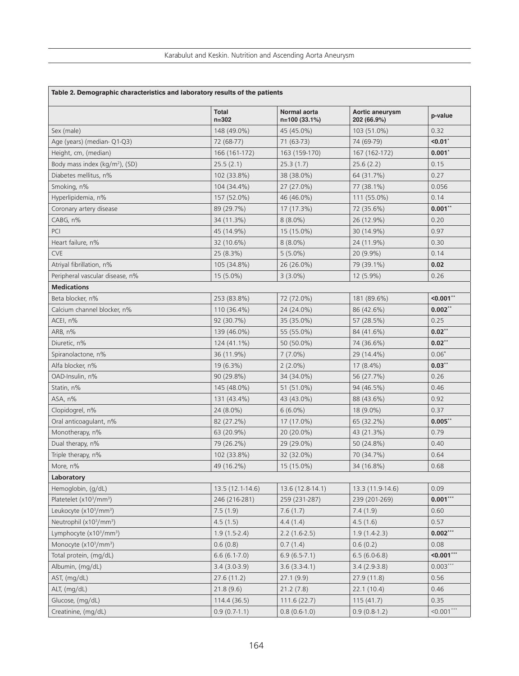| Table 2. Demographic characteristics and laboratory results of the patients |                    |                               |                                |               |  |  |
|-----------------------------------------------------------------------------|--------------------|-------------------------------|--------------------------------|---------------|--|--|
|                                                                             | Total<br>$n = 302$ | Normal aorta<br>n=100 (33.1%) | Aortic aneurysm<br>202 (66.9%) | p-value       |  |  |
| Sex (male)                                                                  | 148 (49.0%)        | 45 (45.0%)                    | 103 (51.0%)                    | 0.32          |  |  |
| Age (years) (median-Q1-Q3)                                                  | 72 (68-77)         | 71 (63-73)                    | 74 (69-79)                     | < 0.01        |  |  |
| Height, cm, (median)                                                        | 166 (161-172)      | 163 (159-170)                 | 167 (162-172)                  | 0.001"        |  |  |
| Body mass index (kg/m <sup>2</sup> ), (SD)                                  | 25.5(2.1)          | 25.3(1.7)                     | 25.6(2.2)                      | 0.15          |  |  |
| Diabetes mellitus, n%                                                       | 102 (33.8%)        | 38 (38.0%)                    | 64 (31.7%)                     | 0.27          |  |  |
| Smoking, n%                                                                 | 104 (34.4%)        | 27 (27.0%)                    | 77 (38.1%)                     | 0.056         |  |  |
| Hyperlipidemia, n%                                                          | 157 (52.0%)        | 46 (46.0%)                    | 111 (55.0%)                    | 0.14          |  |  |
| Coronary artery disease                                                     | 89 (29.7%)         | 17 (17.3%)                    | 72 (35.6%)                     | $0.001**$     |  |  |
| CABG, n%                                                                    | 34 (11.3%)         | $8(8.0\%)$                    | 26 (12.9%)                     | 0.20          |  |  |
| PCI                                                                         | 45 (14.9%)         | 15 (15.0%)                    | 30 (14.9%)                     | 0.97          |  |  |
| Heart failure, n%                                                           | 32 (10.6%)         | $8(8.0\%)$                    | 24 (11.9%)                     | 0.30          |  |  |
| <b>CVE</b>                                                                  | 25 (8.3%)          | $5(5.0\%)$                    | 20 (9.9%)                      | 0.14          |  |  |
| Atrival fibrillation, n%                                                    | 105 (34.8%)        | 26 (26.0%)                    | 79 (39.1%)                     | 0.02          |  |  |
| Peripheral vascular disease, n%                                             | $15(5.0\%)$        | $3(3.0\%)$                    | 12 (5.9%)                      | 0.26          |  |  |
| <b>Medications</b>                                                          |                    |                               |                                |               |  |  |
| Beta blocker, n%                                                            | 253 (83.8%)        | 72 (72.0%)                    | 181 (89.6%)                    | $< 0.001$ **  |  |  |
| Calcium channel blocker, n%                                                 | 110 (36.4%)        | 24 (24.0%)                    | 86 (42.6%)                     | $0.002**$     |  |  |
| ACEI, n%                                                                    | 92 (30.7%)         | 35 (35.0%)                    | 57 (28.5%)                     | 0.25          |  |  |
| ARB, n%                                                                     | 139 (46.0%)        | 55 (55.0%)                    | 84 (41.6%)                     | $0.02**$      |  |  |
| Diuretic, n%                                                                | 124 (41.1%)        | 50 (50.0%)                    | 74 (36.6%)                     | $0.02**$      |  |  |
| Spiranolactone, n%                                                          | 36 (11.9%)         | $7(7.0\%)$                    | 29 (14.4%)                     | $0.06*$       |  |  |
| Alfa blocker, n%                                                            | 19 (6.3%)          | $2(2.0\%)$                    | 17 (8.4%)                      | $0.03**$      |  |  |
| OAD-Insulin, n%                                                             | 90 (29.8%)         | 34 (34.0%)                    | 56 (27.7%)                     | 0.26          |  |  |
| Statin, n%                                                                  | 145 (48.0%)        | 51 (51.0%)                    | 94 (46.5%)                     | 0.46          |  |  |
| ASA, n%                                                                     | 131 (43.4%)        | 43 (43.0%)                    | 88 (43.6%)                     | 0.92          |  |  |
| Clopidogrel, n%                                                             | 24 (8.0%)          | $6(6.0\%)$                    | 18 (9.0%)                      | 0.37          |  |  |
| Oral anticoagulant, n%                                                      | 82 (27.2%)         | 17 (17.0%)                    | 65 (32.2%)                     | $0.005$ **    |  |  |
| Monotherapy, n%                                                             | 63 (20.9%)         | 20 (20.0%)                    | 43 (21.3%)                     | 0.79          |  |  |
| Dual therapy, n%                                                            | 79 (26.2%)         | 29 (29.0%)                    | 50 (24.8%)                     | 0.40          |  |  |
| Triple therapy, n%                                                          | 102 (33.8%)        | 32 (32.0%)                    | 70 (34.7%)                     | 0.64          |  |  |
| More, n%                                                                    | 49 (16.2%)         | 15 (15.0%)                    | 34 (16.8%)                     | 0.68          |  |  |
| Laboratory                                                                  |                    |                               |                                |               |  |  |
| Hemoglobin, (g/dL)                                                          | 13.5 (12.1-14.6)   | 13.6 (12.8-14.1)              | 13.3 (11.9-14.6)               | 0.09          |  |  |
| Platetelet (x10 <sup>3</sup> /mm <sup>3</sup> )                             | 246 (216-281)      | 259 (231-287)                 | 239 (201-269)                  | $0.001***$    |  |  |
| Leukocyte (x10 <sup>3</sup> /mm <sup>3</sup> )                              | 7.5(1.9)           | 7.6(1.7)                      | 7.4(1.9)                       | 0.60          |  |  |
| Neutrophil (x10 <sup>3</sup> /mm <sup>3</sup> )                             | 4.5(1.5)           | 4.4(1.4)                      | 4.5(1.6)                       | 0.57          |  |  |
| Lymphocyte (x10 <sup>3</sup> /mm <sup>3</sup> )                             | $1.9(1.5-2.4)$     | $2.2(1.6-2.5)$                | $1.9(1.4-2.3)$                 | $0.002***$    |  |  |
| Monocyte (x10 <sup>3</sup> /mm <sup>3</sup> )                               | 0.6(0.8)           | 0.7(1.4)                      | 0.6(0.2)                       | 0.08          |  |  |
| Total protein, (mg/dL)                                                      | $6.6(6.1-7.0)$     | $6.9(6.5-7.1)$                | $6.5(6.0-6.8)$                 | $< 0.001$ *** |  |  |
| Albumin, (mg/dL)                                                            | $3.4(3.0-3.9)$     | $3.6(3.3-4.1)$                | $3.4(2.9-3.8)$                 | $0.003***$    |  |  |
| AST, (mg/dL)                                                                | 27.6(11.2)         | 27.1(9.9)                     | 27.9(11.8)                     | 0.56          |  |  |
| ALT, (mg/dL)                                                                | 21.8(9.6)          | 21.2(7.8)                     | 22.1(10.4)                     | 0.46          |  |  |
| Glucose, (mg/dL)                                                            | 114.4 (36.5)       | 111.6(22.7)                   | 115(41.7)                      | 0.35          |  |  |
| Creatinine, (mg/dL)                                                         | $0.9(0.7-1.1)$     | $0.8(0.6-1.0)$                | $0.9(0.8-1.2)$                 | $< 0.001$ *** |  |  |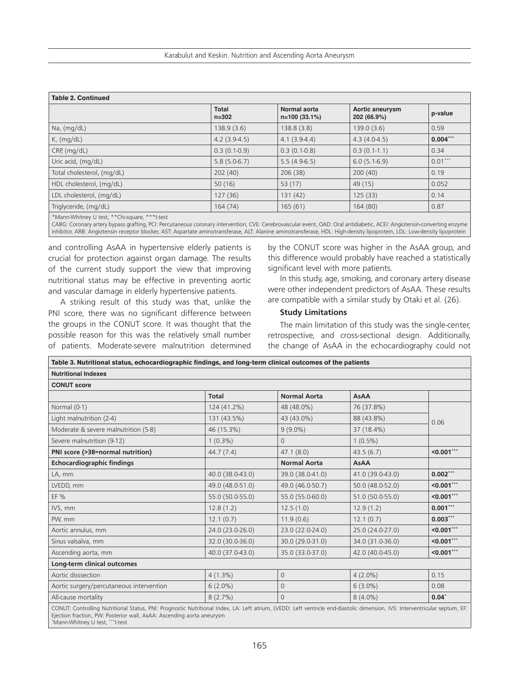Karabulut and Keskin. Nutrition and Ascending Aorta Aneurysm

| <b>Table 2. Continued</b>                          |                           |                                |                                |            |  |  |
|----------------------------------------------------|---------------------------|--------------------------------|--------------------------------|------------|--|--|
|                                                    | <b>Total</b><br>$n = 302$ | Normal aorta<br>$n=100(33.1%)$ | Aortic aneurysm<br>202 (66.9%) | p-value    |  |  |
| Na, (mg/dL)                                        | 138.9(3.6)                | 138.8(3.8)                     | 139.0 (3.6)                    | 0.59       |  |  |
| K, (mq/dL)                                         | $4.2(3.9-4.5)$            | $4.1(3.9-4.4)$                 | $4.3(4.0-4.5)$                 | $0.004***$ |  |  |
| CRP, (mq/dL)                                       | $0.3(0.1-0.9)$            | $0.3(0.1-0.8)$                 | $0.3(0.1-1.1)$                 | 0.34       |  |  |
| Uric acid, (mg/dL)                                 | $5.8(5.0-6.7)$            | $5.5(4.9-6.5)$                 | $6.0(5.1-6.9)$                 | $0.01***$  |  |  |
| Total cholesterol, (mg/dL)                         | 202(40)                   | 206(38)                        | 200(40)                        | 0.19       |  |  |
| HDL cholesterol, (mg/dL)                           | 50(16)                    | 53 $(17)$                      | 49 (15)                        | 0.052      |  |  |
| LDL cholesterol, (mg/dL)                           | 127(36)                   | 131(42)                        | 125(33)                        | 0.14       |  |  |
| Triglyceride, (mg/dL)                              | 164(74)                   | 165(61)                        | 164 (80)                       | 0.87       |  |  |
| $*$ Monn Whitnow U tost $*$ *Chisquare $*$ **++est |                           |                                |                                |            |  |  |

\*Mann-Whitney U test, \*\*Chi-square, \*\*\*t-test

CABG: Coronary artery bypass grafting, PCI: Percutaneous coronary intervention, CVE: Cerebrovascular event, OAD: Oral antidiabetic, ACEI: Angiotensin-converting enzyme inhibitor, ARB: Angiotensin receptor blocker, AST: Aspartate aminotransferase, ALT: Alanine aminotransferase, HDL: High-density lipoprotein, LDL: Low-density lipoprotein

and controlling AsAA in hypertensive elderly patients is crucial for protection against organ damage. The results of the current study support the view that improving nutritional status may be effective in preventing aortic and vascular damage in elderly hypertensive patients.

A striking result of this study was that, unlike the PNI score, there was no significant difference between the groups in the CONUT score. It was thought that the possible reason for this was the relatively small number of patients. Moderate-severe malnutrition determined

by the CONUT score was higher in the AsAA group, and this difference would probably have reached a statistically significant level with more patients.

In this study, age, smoking, and coronary artery disease were other independent predictors of AsAA. These results are compatible with a similar study by Otaki et al. (26).

#### **Study Limitations**

The main limitation of this study was the single-center, retrospective, and cross-sectional design. Additionally, the change of AsAA in the echocardiography could not

| Table 3. Nutritional status, echocardiographic findings, and long-term clinical outcomes of the patients                                                                    |                  |                     |                  |               |  |  |
|-----------------------------------------------------------------------------------------------------------------------------------------------------------------------------|------------------|---------------------|------------------|---------------|--|--|
| <b>Nutritional Indexes</b>                                                                                                                                                  |                  |                     |                  |               |  |  |
| <b>CONUT score</b>                                                                                                                                                          |                  |                     |                  |               |  |  |
|                                                                                                                                                                             | <b>Total</b>     | <b>Normal Aorta</b> | <b>AsAA</b>      |               |  |  |
| Normal (0-1)                                                                                                                                                                | 124 (41.2%)      | 48 (48.0%)          | 76 (37.8%)       |               |  |  |
| Light malnutrition (2-4)                                                                                                                                                    | 131 (43.5%)      | 43 (43.0%)          | 88 (43.8%)       | 0.06          |  |  |
| Moderate & severe malnutrition (5-8)                                                                                                                                        | 46 (15.3%)       | $9(9.0\%)$          | 37 (18.4%)       |               |  |  |
| Severe malnutrition (9-12)                                                                                                                                                  | $1(0.3\%)$       | $\Omega$            | $1(0.5\%)$       |               |  |  |
| PNI score (>38=normal nutrition)                                                                                                                                            | 44.7(7.4)        | 47.1(8.0)           | 43.5(6.7)        | $< 0.001$ *** |  |  |
| <b>Echocardiographic findings</b>                                                                                                                                           |                  | <b>Normal Aorta</b> | <b>AsAA</b>      |               |  |  |
| LA, mm                                                                                                                                                                      | 40.0 (38.0-43.0) | 39.0 (38.0-41.0)    | 41.0 (39.0-43.0) | $0.002***$    |  |  |
| LVEDD, mm                                                                                                                                                                   | 49.0 (48.0-51.0) | 49.0 (46.0-50.7)    | 50.0 (48.0-52.0) | $< 0.001$ *** |  |  |
| EF %                                                                                                                                                                        | 55.0 (50.0-55.0) | 55.0 (55.0-60.0)    | 51.0 (50.0-55.0) | $< 0.001$ *** |  |  |
| IVS, mm                                                                                                                                                                     | 12.8(1.2)        | 12.5(1.0)           | 12.9(1.2)        | $0.001***$    |  |  |
| PW, mm                                                                                                                                                                      | 12.1(0.7)        | 11.9(0.6)           | 12.1(0.7)        | $0.003***$    |  |  |
| Aortic annulus, mm                                                                                                                                                          | 24.0 (23.0-26.0) | 23.0 (22.0-24.0)    | 25.0 (24.0-27.0) | $< 0.001$ *** |  |  |
| Sinus valsalva, mm                                                                                                                                                          | 32.0 (30.0-36.0) | 30.0 (29.0-31.0)    | 34.0 (31.0-36.0) | $< 0.001$ *** |  |  |
| Ascending aorta, mm                                                                                                                                                         | 40.0 (37.0-43.0) | 35.0 (33.0-37.0)    | 42.0 (40.0-45.0) | $< 0.001$ *** |  |  |
| Long-term clinical outcomes                                                                                                                                                 |                  |                     |                  |               |  |  |
| Aortic disssection                                                                                                                                                          | $4(1.3\%)$       | $\overline{0}$      | $4(2.0\%)$       | 0.15          |  |  |
| Aortic surgery/percutaneous intervention                                                                                                                                    | $6(2.0\%)$       | $\overline{0}$      | $6(3.0\%)$       | 0.08          |  |  |
| All-cause mortality                                                                                                                                                         | 8(2.7%)          | $\Omega$            | $8(4.0\%)$       | $0.04*$       |  |  |
| CONUT: Controlling Nutritional Status, PNI: Prognostic Nutritional Index, LA: Left atrium, LVEDD: Left ventricle end-diastolic dimension, IVS: Interventricular septum, EF: |                  |                     |                  |               |  |  |

CONUT: Controlling Nutritional Status, PNI: Prognostic Nutritional Index, LA: Left atrium, LVEDD: Left ventricle end-diastolic dimension, IVS: Interventricular septum, EF: Ejection fraction, PW: Posterior wall, AsAA: Ascending aorta aneurysm \* Mann-Whitney U test, \*\*\*t-test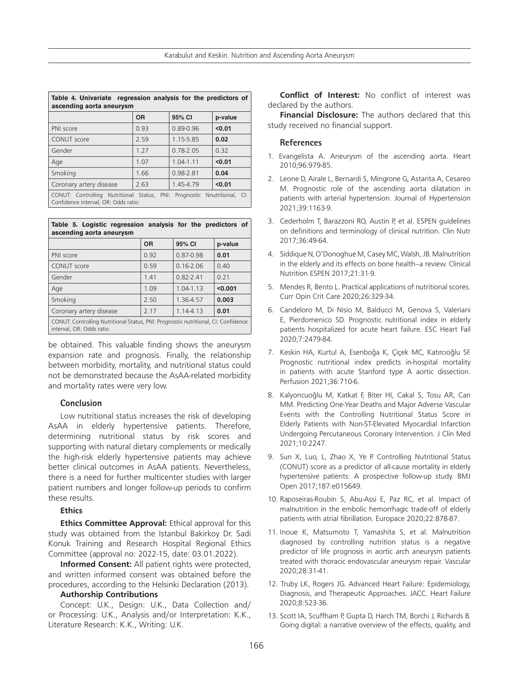| Table 4. Univariate regression analysis for the predictors of<br>ascending aorta aneurysm                          |           |               |         |  |  |  |
|--------------------------------------------------------------------------------------------------------------------|-----------|---------------|---------|--|--|--|
|                                                                                                                    | <b>OR</b> | 95% CI        | p-value |  |  |  |
| PNI score                                                                                                          | 0.93      | $0.89 - 0.96$ | < 0.01  |  |  |  |
| CONUT score                                                                                                        | 2.59      | 1.15-5.85     | 0.02    |  |  |  |
| Gender                                                                                                             | 1 2 7     | $0.78 - 2.05$ | 0.32    |  |  |  |
| Age                                                                                                                | 1.07      | $1.04 - 1.11$ | < 0.01  |  |  |  |
| Smoking                                                                                                            | 1.66      | 0.98-2.81     | 0.04    |  |  |  |
| Coronary artery disease                                                                                            | 2.63      | 1.45-4.79     | < 0.01  |  |  |  |
| CONUT: Controlling Nutritional Status, PNI: Prognostic<br>Nnutritional, CI:<br>Confidence interval, OR: Odds ratio |           |               |         |  |  |  |

|  |                          | Table 5. Logistic regression analysis for the predictors of |  |  |  |
|--|--------------------------|-------------------------------------------------------------|--|--|--|
|  | ascending aorta aneurysm |                                                             |  |  |  |
|  |                          |                                                             |  |  |  |

|                                                                                                                | <b>OR</b> | 95% CI        | p-value |  |  |  |
|----------------------------------------------------------------------------------------------------------------|-----------|---------------|---------|--|--|--|
| PNI score                                                                                                      | 0.92      | 0.87-0.98     | 0.01    |  |  |  |
| <b>CONUT</b> score                                                                                             | 0.59      | $0.16 - 2.06$ | 0.40    |  |  |  |
| Gender                                                                                                         | 1.41      | $0.82 - 2.41$ | 0.21    |  |  |  |
| Age                                                                                                            | 1.09      | $1.04 - 1.13$ | < 0.001 |  |  |  |
| Smoking                                                                                                        | 2.50      | 1.36-4.57     | 0.003   |  |  |  |
| Coronary artery disease                                                                                        | 2.17      | 1.14-4.13     | 0.01    |  |  |  |
| CONUT: Controlling Nutritional Status, PNI: Prognostic nutritional, CI: Confidence<br>interval, OR: Odds ratio |           |               |         |  |  |  |

be obtained. This valuable finding shows the aneurysm expansion rate and prognosis. Finally, the relationship between morbidity, mortality, and nutritional status could not be demonstrated because the AsAA-related morbidity and mortality rates were very low.

#### **Conclusion**

Low nutritional status increases the risk of developing AsAA in elderly hypertensive patients. Therefore, determining nutritional status by risk scores and supporting with natural dietary complements or medically the high-risk elderly hypertensive patients may achieve better clinical outcomes in AsAA patients. Nevertheless, there is a need for further multicenter studies with larger patient numbers and longer follow-up periods to confirm these results.

# **Ethics**

**Ethics Committee Approval:** Ethical approval for this study was obtained from the Istanbul Bakirkoy Dr. Sadi Konuk Training and Research Hospital Regional Ethics Committee (approval no: 2022-15, date: 03.01.2022).

**Informed Consent:** All patient rights were protected, and written informed consent was obtained before the procedures, according to the Helsinki Declaration (2013).

#### **Authorship Contributions**

Concept: U.K., Design: U.K., Data Collection and/ or Processing: U.K., Analysis and/or Interpretation: K.K., Literature Research: K.K., Writing: U.K.

**Conflict of Interest:** No conflict of interest was declared by the authors.

**Financial Disclosure:** The authors declared that this study received no financial support.

## **References**

- 1. Evangelista A. Aneurysm of the ascending aorta. Heart 2010;96:979-85.
- 2. Leone D, Airale L, Bernardi S, Mingrone G, Astarita A, Cesareo M. Prognostic role of the ascending aorta dilatation in patients with arterial hypertension. Journal of Hypertension 2021;39:1163-9.
- 3. Cederholm T, Barazzoni RO, Austin P, et al. ESPEN guidelines on definitions and terminology of clinical nutrition. Clin Nutr 2017;36:49-64.
- 4. Siddique N, O'Donoghue M, Casey MC, Walsh, JB. Malnutrition in the elderly and its effects on bone health–a review. Clinical Nutrition ESPEN 2017;21:31-9.
- 5. Mendes R, Bento L. Practical applications of nutritional scores. Curr Opin Crit Care 2020;26:329-34.
- 6. Candeloro M, Di Nisio M, Balducci M, Genova S, Valeriani E, Pierdomenico SD. Prognostic nutritional index in elderly patients hospitalized for acute heart failure. ESC Heart Fail 2020;7:2479-84.
- 7. Keskin HA, Kurtul A, Esenboğa K, Çiçek MC, Katırcıoğlu SF. Prognostic nutritional index predicts in-hospital mortality in patients with acute Stanford type A aortic dissection. Perfusion 2021;36:710-6.
- 8. Kalyoncuoğlu M, Katkat F, Biter HI, Cakal S, Tosu AR, Can MM. Predicting One-Year Deaths and Major Adverse Vascular Events with the Controlling Nutritional Status Score in Elderly Patients with Non-ST-Elevated Myocardial Infarction Undergoing Percutaneous Coronary Intervention. J Clin Med 2021;10:2247.
- 9. Sun X, Luo, L, Zhao X, Ye P. Controlling Nutritional Status (CONUT) score as a predictor of all-cause mortality in elderly hypertensive patients: A prospective follow-up study. BMJ Open 2017;187:e015649.
- 10. Raposeiras-Roubin S, Abu-Assi E, Paz RC, et al. Impact of malnutrition in the embolic hemorrhagic trade-off of elderly patients with atrial fibrillation. Europace 2020;22:878-87.
- 11. Inoue K, Matsumoto T, Yamashita S, et al. Malnutrition diagnosed by controlling nutrition status is a negative predictor of life prognosis in aortic arch aneurysm patients treated with thoracic endovascular aneurysm repair. Vascular 2020;28:31-41.
- 12. Truby LK, Rogers JG. Advanced Heart Failure: Epidemiology, Diagnosis, and Therapeutic Approaches. JACC. Heart Failure 2020;8:523-36.
- 13. Scott IA, Scuffham P, Gupta D, Harch TM, Borchi J, Richards B. Going digital: a narrative overview of the effects, quality, and